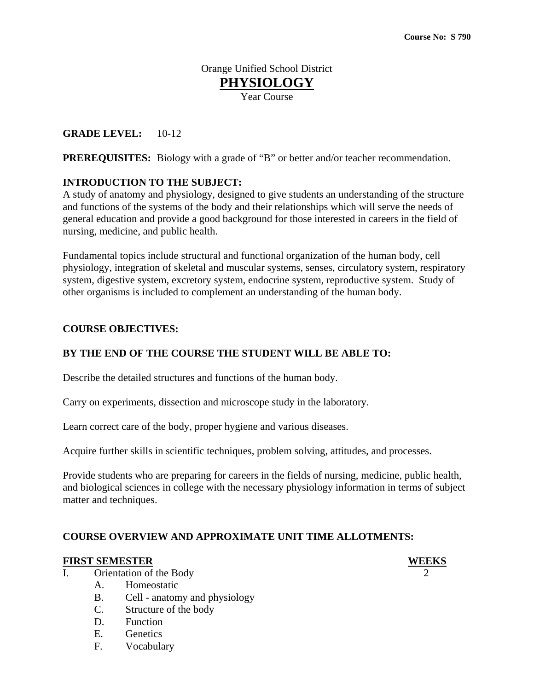# Orange Unified School District **PHYSIOLOGY** Year Course

# **GRADE LEVEL:** 10-12

**PREREQUISITES:** Biology with a grade of "B" or better and/or teacher recommendation.

### **INTRODUCTION TO THE SUBJECT:**

A study of anatomy and physiology, designed to give students an understanding of the structure and functions of the systems of the body and their relationships which will serve the needs of general education and provide a good background for those interested in careers in the field of nursing, medicine, and public health.

Fundamental topics include structural and functional organization of the human body, cell physiology, integration of skeletal and muscular systems, senses, circulatory system, respiratory system, digestive system, excretory system, endocrine system, reproductive system. Study of other organisms is included to complement an understanding of the human body.

### **COURSE OBJECTIVES:**

### **BY THE END OF THE COURSE THE STUDENT WILL BE ABLE TO:**

Describe the detailed structures and functions of the human body.

Carry on experiments, dissection and microscope study in the laboratory.

Learn correct care of the body, proper hygiene and various diseases.

Acquire further skills in scientific techniques, problem solving, attitudes, and processes.

Provide students who are preparing for careers in the fields of nursing, medicine, public health, and biological sciences in college with the necessary physiology information in terms of subject matter and techniques.

### **COURSE OVERVIEW AND APPROXIMATE UNIT TIME ALLOTMENTS:**

#### **FIRST SEMESTER WEEKS**

- I. Orientation of the Body
	- A. Homeostatic
	- B. Cell anatomy and physiology
	- C. Structure of the body
	- D. Function
	- E. Genetics
	- F. Vocabulary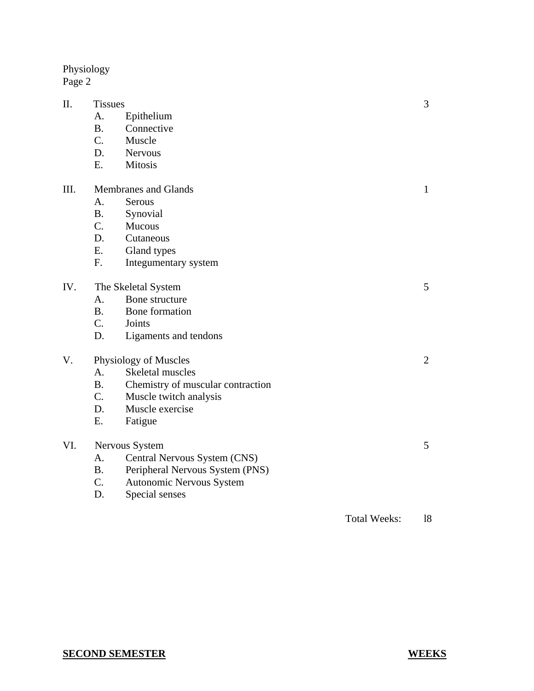Physiology Page 2

| Π.  | <b>Tissues</b>              |                                   |                     |                |
|-----|-----------------------------|-----------------------------------|---------------------|----------------|
|     | A.                          | Epithelium                        |                     |                |
|     | <b>B.</b>                   | Connective                        |                     |                |
|     | $C_{\cdot}$                 | Muscle                            |                     |                |
|     | D.                          | <b>Nervous</b>                    |                     |                |
|     | E.                          | <b>Mitosis</b>                    |                     |                |
| Ш.  | <b>Membranes and Glands</b> |                                   |                     | $\mathbf{1}$   |
|     | A.                          | Serous                            |                     |                |
|     | <b>B.</b>                   | Synovial                          |                     |                |
|     | C.                          | Mucous                            |                     |                |
|     | D.                          | Cutaneous                         |                     |                |
|     | Ε.                          | Gland types                       |                     |                |
|     | F.                          | Integumentary system              |                     |                |
| IV. | The Skeletal System         |                                   |                     | 5 <sup>5</sup> |
|     | A.                          | Bone structure                    |                     |                |
|     | <b>B.</b>                   | Bone formation                    |                     |                |
|     | $C_{\cdot}$                 | Joints                            |                     |                |
|     | D.                          | Ligaments and tendons             |                     |                |
| V.  | Physiology of Muscles       |                                   |                     | $\overline{2}$ |
|     | A <sub>1</sub>              | Skeletal muscles                  |                     |                |
|     | B <sub>1</sub>              | Chemistry of muscular contraction |                     |                |
|     | $C_{\cdot}$                 | Muscle twitch analysis            |                     |                |
|     | D.                          | Muscle exercise                   |                     |                |
|     | E.                          | Fatigue                           |                     |                |
| VI. | Nervous System              |                                   |                     | 5              |
|     | $A_{\cdot}$                 | Central Nervous System (CNS)      |                     |                |
|     | <b>B.</b>                   | Peripheral Nervous System (PNS)   |                     |                |
|     | $C_{\cdot}$                 | Autonomic Nervous System          |                     |                |
|     | D.                          | Special senses                    |                     |                |
|     |                             |                                   | <b>Total Weeks:</b> | 18             |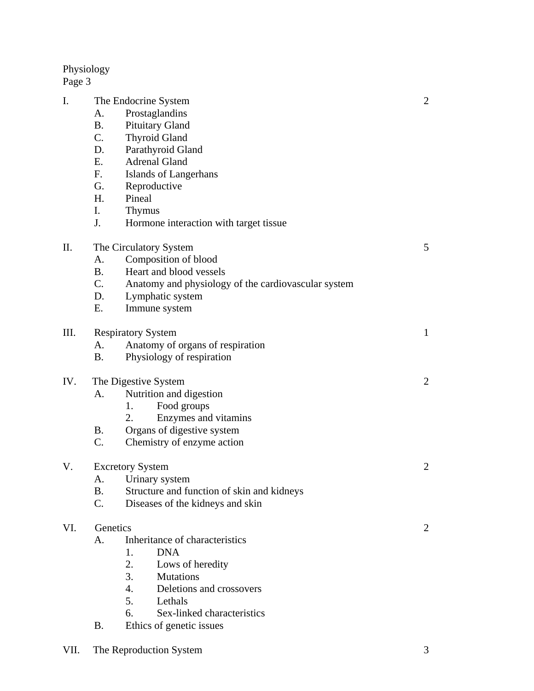Physiology

Page 3

| I.  | The Endocrine System      |                                                     |                |  |
|-----|---------------------------|-----------------------------------------------------|----------------|--|
|     | A.                        | Prostaglandins                                      |                |  |
|     | <b>B.</b>                 | <b>Pituitary Gland</b>                              |                |  |
|     | $C_{\cdot}$               | <b>Thyroid Gland</b>                                |                |  |
|     | D.                        | Parathyroid Gland                                   |                |  |
|     | Ε.                        | <b>Adrenal Gland</b>                                |                |  |
|     | F.                        | Islands of Langerhans                               |                |  |
|     | G.                        | Reproductive                                        |                |  |
|     | H.                        | Pineal                                              |                |  |
|     | I.                        | <b>Thymus</b>                                       |                |  |
|     | J.                        |                                                     |                |  |
|     |                           | Hormone interaction with target tissue              |                |  |
| Π.  | The Circulatory System    | 5                                                   |                |  |
|     | A.                        | Composition of blood                                |                |  |
|     | <b>B.</b>                 | Heart and blood vessels                             |                |  |
|     | $C_{\cdot}$               | Anatomy and physiology of the cardiovascular system |                |  |
|     | D.                        | Lymphatic system                                    |                |  |
|     | Ε.                        | Immune system                                       |                |  |
|     |                           |                                                     |                |  |
| Ш.  | <b>Respiratory System</b> | $\mathbf{1}$                                        |                |  |
|     | А.                        | Anatomy of organs of respiration                    |                |  |
|     | <b>B.</b>                 | Physiology of respiration                           |                |  |
|     |                           |                                                     | $\overline{2}$ |  |
| IV. | The Digestive System      |                                                     |                |  |
|     | A.                        | Nutrition and digestion                             |                |  |
|     |                           | Food groups<br>1.                                   |                |  |
|     |                           | Enzymes and vitamins<br>2.                          |                |  |
|     | <b>B.</b>                 | Organs of digestive system                          |                |  |
|     | C.                        | Chemistry of enzyme action                          |                |  |
|     |                           |                                                     |                |  |
| V.  |                           | <b>Excretory System</b>                             | 2              |  |
|     |                           | A. Urinary system                                   |                |  |
|     | В.                        | Structure and function of skin and kidneys          |                |  |
|     | C.                        | Diseases of the kidneys and skin                    |                |  |
| VI. | Genetics                  |                                                     |                |  |
|     | А.                        | Inheritance of characteristics                      | 2              |  |
|     |                           | <b>DNA</b><br>1.                                    |                |  |
|     |                           | 2.<br>Lows of heredity                              |                |  |
|     |                           | 3.<br><b>Mutations</b>                              |                |  |
|     |                           | 4.<br>Deletions and crossovers                      |                |  |
|     |                           |                                                     |                |  |
|     |                           | 5.<br>Lethals                                       |                |  |
|     |                           | 6.<br>Sex-linked characteristics                    |                |  |
|     | B.                        | Ethics of genetic issues                            |                |  |
|     |                           |                                                     |                |  |

VII. The Reproduction System 3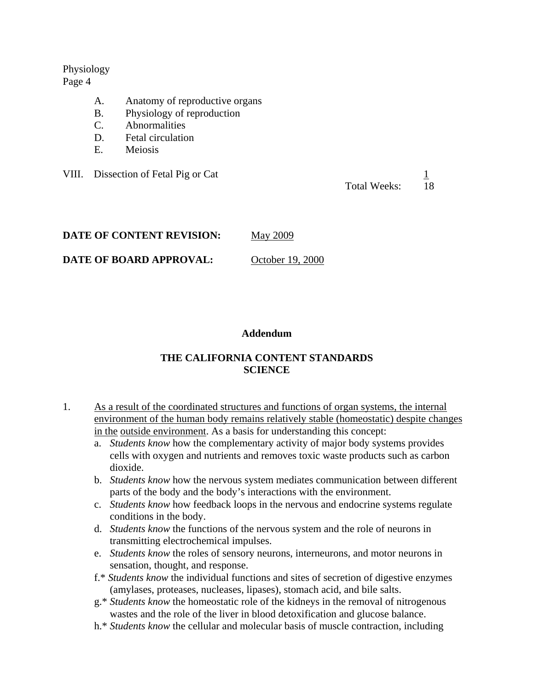#### Physiology Page 4

- A. Anatomy of reproductive organs
- B. Physiology of reproduction
- C. Abnormalities
- D. Fetal circulation
- E. Meiosis

VIII. Dissection of Fetal Pig or Cat 1

Total Weeks: 18

| DATE OF CONTENT REVISION: | <b>May 2009</b> |
|---------------------------|-----------------|
|---------------------------|-----------------|

**DATE OF BOARD APPROVAL:** October 19, 2000

### **Addendum**

# **THE CALIFORNIA CONTENT STANDARDS SCIENCE**

- 1. As a result of the coordinated structures and functions of organ systems, the internal environment of the human body remains relatively stable (homeostatic) despite changes in the outside environment. As a basis for understanding this concept:
	- a. *Students know* how the complementary activity of major body systems provides cells with oxygen and nutrients and removes toxic waste products such as carbon dioxide.
	- b. *Students know* how the nervous system mediates communication between different parts of the body and the body's interactions with the environment.
	- c. *Students know* how feedback loops in the nervous and endocrine systems regulate conditions in the body.
	- d. *Students know* the functions of the nervous system and the role of neurons in transmitting electrochemical impulses.
	- e. *Students know* the roles of sensory neurons, interneurons, and motor neurons in sensation, thought, and response.
	- f.\* *Students know* the individual functions and sites of secretion of digestive enzymes (amylases, proteases, nucleases, lipases), stomach acid, and bile salts.
	- g.\* *Students know* the homeostatic role of the kidneys in the removal of nitrogenous wastes and the role of the liver in blood detoxification and glucose balance.
	- h.\* *Students know* the cellular and molecular basis of muscle contraction, including